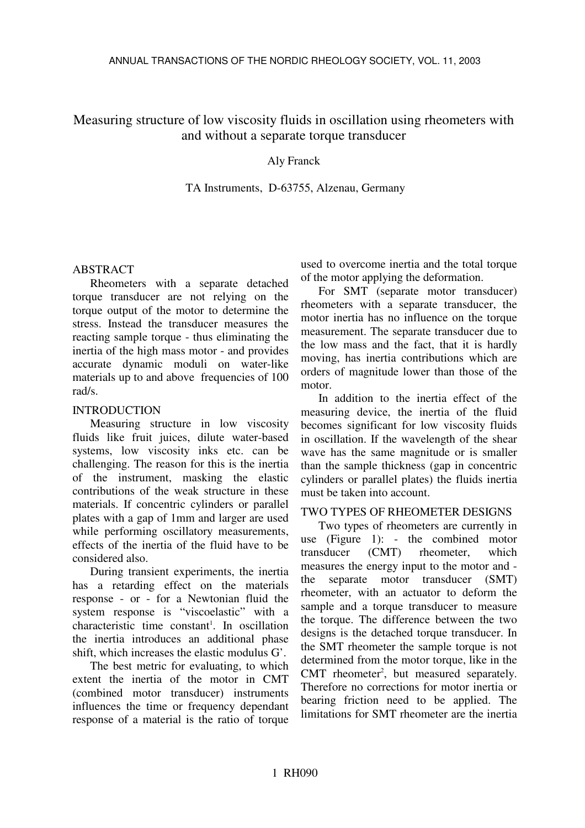# Measuring structure of low viscosity fluids in oscillation using rheometers with and without a separate torque transducer

## Aly Franck

### TA Instruments, D-63755, Alzenau, Germany

### ABSTRACT

Rheometers with a separate detached torque transducer are not relying on the torque output of the motor to determine the stress. Instead the transducer measures the reacting sample torque - thus eliminating the inertia of the high mass motor - and provides accurate dynamic moduli on water-like materials up to and above frequencies of 100 rad/s.

## INTRODUCTION

Measuring structure in low viscosity fluids like fruit juices, dilute water-based systems, low viscosity inks etc. can be challenging. The reason for this is the inertia of the instrument, masking the elastic contributions of the weak structure in these materials. If concentric cylinders or parallel plates with a gap of 1mm and larger are used while performing oscillatory measurements, effects of the inertia of the fluid have to be considered also.

During transient experiments, the inertia has a retarding effect on the materials response - or - for a Newtonian fluid the system response is "viscoelastic" with a characteristic time constant 1 . In oscillation the inertia introduces an additional phase shift, which increases the elastic modulus G'.

The best metric for evaluating, to which extent the inertia of the motor in CMT (combined motor transducer) instruments influences the time or frequency dependant response of a material is the ratio of torque used to overcome inertia and the total torque of the motor applying the deformation.

For SMT (separate motor transducer) rheometers with a separate transducer, the motor inertia has no influence on the torque measurement. The separate transducer due to the low mass and the fact, that it is hardly moving, has inertia contributions which are orders of magnitude lower than those of the motor.

In addition to the inertia effect of the measuring device, the inertia of the fluid becomes significant for low viscosity fluids in oscillation. If the wavelength of the shear wave has the same magnitude or is smaller than the sample thickness (gap in concentric cylinders or parallel plates) the fluids inertia must be taken into account.

# TWO TYPES OF RHEOMETER DESIGNS

Two types of rheometers are currently in use (Figure 1): - the combined motor transducer (CMT) rheometer, which measures the energy input to the motor and the separate motor transducer (SMT) rheometer, with an actuator to deform the sample and a torque transducer to measure the torque. The difference between the two designs is the detached torque transducer. In the SMT rheometer the sample torque is not determined from the motor torque, like in the CMT rheometer<sup>2</sup>, but measured separately. Therefore no corrections for motor inertia or bearing friction need to be applied. The limitations for SMT rheometer are the inertia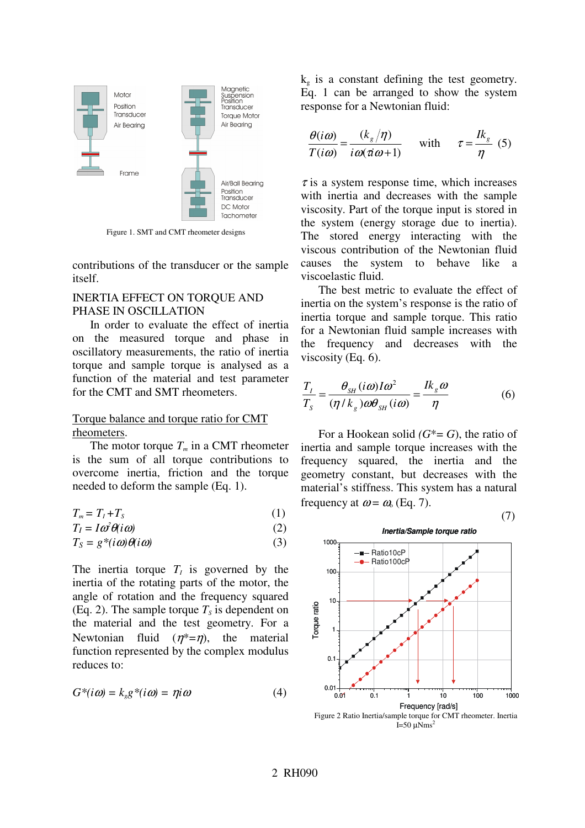

Figure 1. SMT and CMT rheometer designs

contributions of the transducer or the sample itself.

#### INERTIA EFFECT ON TORQUE AND PHASE IN OSCILLATION

In order to evaluate the effect of inertia on the measured torque and phase in oscillatory measurements, the ratio of inertia torque and sample torque is analysed as a function of the material and test parameter for the CMT and SMT rheometers.

#### Torque balance and torque ratio for CMT rheometers.

The motor torque  $T_m$  in a CMT rheometer is the sum of all torque contributions to overcome inertia, friction and the torque needed to deform the sample (Eq. 1).

$$
T_m = T_I + T_S \tag{1}
$$

$$
T_I = I \omega^2 \theta(i\omega) \tag{2}
$$

$$
T_S = g^*(i\omega)\theta(i\omega) \tag{3}
$$

The inertia torque  $T_I$  is governed by the inertia of the rotating parts of the motor, the angle of rotation and the frequency squared (Eq. 2). The sample torque  $T<sub>S</sub>$  is dependent on the material and the test geometry. For a Newtonian fluid  $(n^* = n)$ , the material function represented by the complex modulus reduces to:

$$
G^*(i\omega) = k_s g^*(i\omega) = \eta i\omega \tag{4}
$$

 $k_{g}$  is a constant defining the test geometry. Eq. 1 can be arranged to show the system response for a Newtonian fluid:

$$
\frac{\theta(i\omega)}{T(i\omega)} = \frac{(k_g/\eta)}{i\omega(\pi\omega+1)} \quad \text{with} \quad \tau = \frac{Ik_g}{\eta} \tag{5}
$$

 $\tau$  is a system response time, which increases with inertia and decreases with the sample viscosity. Part of the torque input is stored in the system (energy storage due to inertia). The stored energy interacting with the viscous contribution of the Newtonian fluid causes the system to behave like a viscoelastic fluid.

The best metric to evaluate the effect of inertia on the system's response is the ratio of inertia torque and sample torque. This ratio for a Newtonian fluid sample increases with the frequency and decreases with the viscosity (Eq. 6).

$$
\frac{T_I}{T_s} = \frac{\theta_{SH}(i\omega)I\omega^2}{(\eta/k_s)\omega\theta_{SH}(i\omega)} = \frac{Ik_s\omega}{\eta}
$$
(6)

For a Hookean solid  $(G^* = G)$ , the ratio of inertia and sample torque increases with the frequency squared, the inertia and the geometry constant, but decreases with the material's stiffness. This system has a natural frequency at  $\omega = \omega_0$  (Eq. 7).

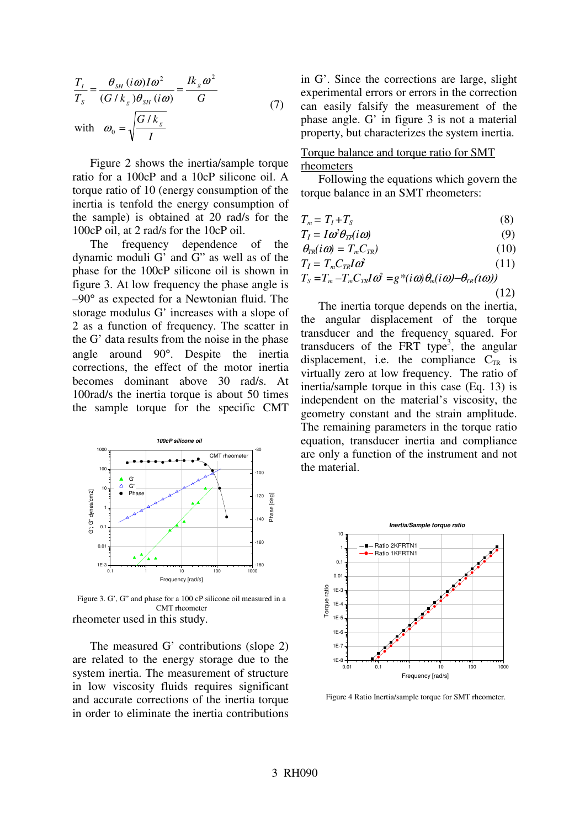$$
\frac{T_I}{T_s} = \frac{\theta_{SH} (i\omega) I \omega^2}{(G/k_s)\theta_{SH} (i\omega)} = \frac{Ik_s \omega^2}{G}
$$
\nwith  $\omega_0 = \sqrt{\frac{G/k_s}{I}}$  (7)

Figure 2 shows the inertia/sample torque ratio for a 100cP and a 10cP silicone oil. A torque ratio of 10 (energy consumption of the inertia is tenfold the energy consumption of the sample) is obtained at 20 rad/s for the 100cP oil, at 2 rad/s for the 10cP oil.

The frequency dependence of the dynamic moduli G' and G" as well as of the phase for the 100cP silicone oil is shown in figure 3. At low frequency the phase angle is –90° as expected for a Newtonian fluid. The storage modulus G' increases with a slope of 2 as a function of frequency. The scatter in the G' data results from the noise in the phase angle around 90°. Despite the inertia corrections, the effect of the motor inertia becomes dominant above 30 rad/s. At 100rad/s the inertia torque is about 50 times the sample torque for the specific CMT



rheometer used in this study. Figure 3. G', G" and phase for a 100 cP silicone oil measured in a CMT rheometer

The measured G' contributions (slope 2) are related to the energy storage due to the system inertia. The measurement of structure in low viscosity fluids requires significant and accurate corrections of the inertia torque in order to eliminate the inertia contributions in G'. Since the corrections are large, slight experimental errors or errors in the correction can easily falsify the measurement of the phase angle. G' in figure 3 is not a material property, but characterizes the system inertia.

### Torque balance and torque ratio for SMT rheometers

Following the equations which govern the torque balance in an SMT rheometers:

$$
T_m = T_I + T_S \tag{8}
$$

$$
T_I = I \omega^2 \theta_{IT} (i \omega) \tag{9}
$$

$$
\theta_{TR}(i\omega) = T_m C_{TR}) \tag{10}
$$

$$
T_I = T_m C_{TR} I \omega^2 \tag{11}
$$

$$
T_{\rm S} = T_m - T_m C_{\rm TR} I \omega^2 = g^*(i\omega)\theta_m(i\omega) - \theta_{\rm TR}(i\omega))\tag{12}
$$

The inertia torque depends on the inertia, the angular displacement of the torque transducer and the frequency squared. For transducers of the FRT type<sup>3</sup>, the angular displacement, i.e. the compliance  $C_{TR}$  is virtually zero at low frequency. The ratio of inertia/sample torque in this case (Eq. 13) is independent on the material's viscosity, the geometry constant and the strain amplitude. The remaining parameters in the torque ratio equation, transducer inertia and compliance are only a function of the instrument and not the material.



Figure 4 Ratio Inertia/sample torque for SMT rheometer.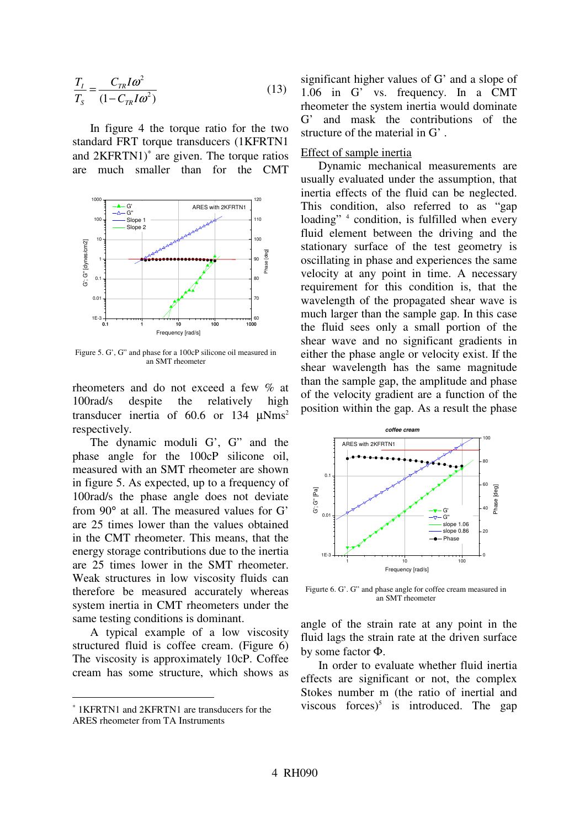$$
\frac{T_I}{T_s} = \frac{C_{TR}I\omega^2}{(1 - C_{TR}I\omega^2)}
$$
(13)

In figure 4 the torque ratio for the two standard FRT torque transducers (1KFRTN1 and 2KFRTN1)<sup>\*</sup> are given. The torque ratios are much smaller than for the CMT



Figure 5. G', G" and phase for a 100cP silicone oil measured in an SMT rheometer

rheometers and do not exceed a few % at 100rad/s despite the relatively high transducer inertia of 60.6 or 134  $\mu$ Nms<sup>2</sup> respectively.

The dynamic moduli G', G" and the phase angle for the 100cP silicone oil, measured with an SMT rheometer are shown in figure 5. As expected, up to a frequency of 100rad/s the phase angle does not deviate from 90° at all. The measured values for G' are 25 times lower than the values obtained in the CMT rheometer. This means, that the energy storage contributions due to the inertia are 25 times lower in the SMT rheometer. Weak structures in low viscosity fluids can therefore be measured accurately whereas system inertia in CMT rheometers under the same testing conditions is dominant.

A typical example of a low viscosity structured fluid is coffee cream. (Figure 6) The viscosity is approximately 10cP. Coffee cream has some structure, which shows as

significant higher values of G' and a slope of 1.06 in G' vs. frequency. In a CMT rheometer the system inertia would dominate G' and mask the contributions of the structure of the material in G' .

#### Effect of sample inertia

Dynamic mechanical measurements are usually evaluated under the assumption, that inertia effects of the fluid can be neglected. This condition, also referred to as "gap loading"<sup>4</sup> condition, is fulfilled when every fluid element between the driving and the stationary surface of the test geometry is oscillating in phase and experiences the same velocity at any point in time. A necessary requirement for this condition is, that the wavelength of the propagated shear wave is much larger than the sample gap. In this case the fluid sees only a small portion of the shear wave and no significant gradients in either the phase angle or velocity exist. If the shear wavelength has the same magnitude than the sample gap, the amplitude and phase of the velocity gradient are a function of the position within the gap. As a result the phase



Figurte 6. G'. G" and phase angle for coffee cream measured in an SMT rheometer

angle of the strain rate at any point in the fluid lags the strain rate at the driven surface by some factor Φ.

In order to evaluate whether fluid inertia effects are significant or not, the complex Stokes number m (the ratio of inertial and viscous forces)<sup>5</sup> is introduced. The gap

<sup>∗</sup> 1KFRTN1 and 2KFRTN1 are transducers for the ARES rheometer from TA Instruments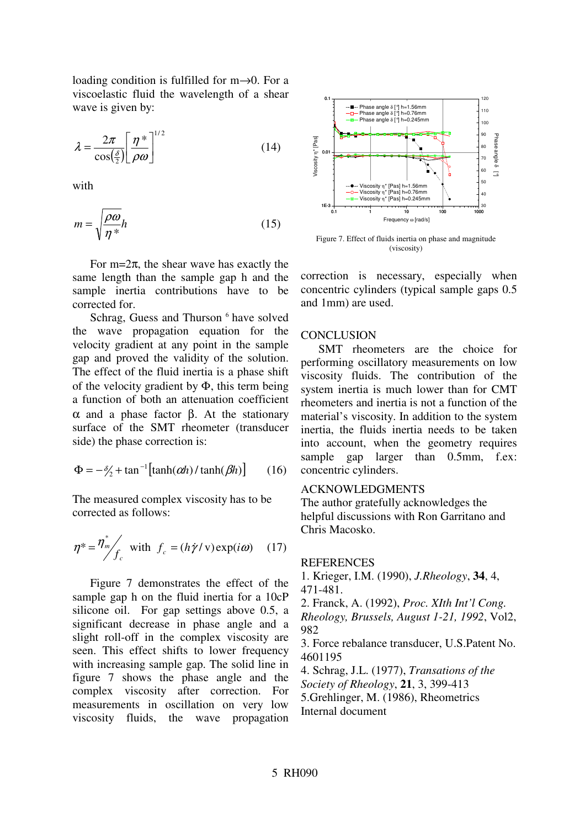loading condition is fulfilled for m→0. For a viscoelastic fluid the wavelength of a shear wave is given by:

$$
\lambda = \frac{2\pi}{\cos(\frac{\delta}{2})} \left[ \frac{\eta^*}{\rho \omega} \right]^{1/2} \tag{14}
$$

with

$$
m = \sqrt{\frac{\rho \omega}{\eta^*}} h \tag{15}
$$

For m= $2\pi$ , the shear wave has exactly the same length than the sample gap h and the sample inertia contributions have to be corrected for.

Schrag, Guess and Thurson 6 have solved the wave propagation equation for the velocity gradient at any point in the sample gap and proved the validity of the solution. The effect of the fluid inertia is a phase shift of the velocity gradient by  $\Phi$ , this term being a function of both an attenuation coefficient α and a phase factor β. At the stationary surface of the SMT rheometer (transducer side) the phase correction is:

$$
\Phi = -\frac{\delta}{2} + \tan^{-1} \left[ \tanh(\alpha h) / \tanh(\beta h) \right] \tag{16}
$$

The measured complex viscosity has to be corrected as follows:

$$
\eta^* = \frac{\eta^*}{f_c} \text{ with } f_c = (h\dot{\gamma}/v) \exp(i\omega) \quad (17)
$$

Figure 7 demonstrates the effect of the sample gap h on the fluid inertia for a 10cP silicone oil. For gap settings above 0.5, a significant decrease in phase angle and a slight roll-off in the complex viscosity are seen. This effect shifts to lower frequency with increasing sample gap. The solid line in figure 7 shows the phase angle and the complex viscosity after correction. For measurements in oscillation on very low viscosity fluids, the wave propagation



Figure 7. Effect of fluids inertia on phase and magnitude (viscosity)

correction is necessary, especially when concentric cylinders (typical sample gaps 0.5 and 1mm) are used.

#### **CONCLUSION**

SMT rheometers are the choice for performing oscillatory measurements on low viscosity fluids. The contribution of the system inertia is much lower than for CMT rheometers and inertia is not a function of the material's viscosity. In addition to the system inertia, the fluids inertia needs to be taken into account, when the geometry requires sample gap larger than 0.5mm, f.ex: concentric cylinders.

### ACKNOWLEDGMENTS

The author gratefully acknowledges the helpful discussions with Ron Garritano and Chris Macosko.

#### **REFERENCES**

1. Krieger, I.M. (1990), *J.Rheology*, **34**, 4, 471-481.

2. Franck, A. (1992), *Proc. XIth Int'l Cong. Rheology, Brussels, August 1-21, 1992*, Vol2,

982

3. Force rebalance transducer, U.S.Patent No. 4601195

4. Schrag, J.L. (1977), *Transations of the Society of Rheology*, **21**, 3, 399-413 5.Grehlinger, M. (1986), Rheometrics Internal document